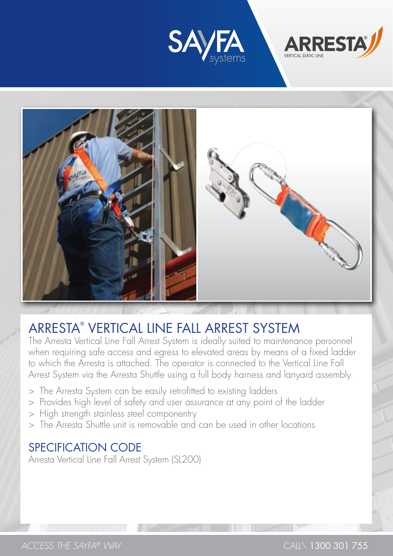





# Arresta® Vertical Line Fall Arrest SysteM

The Arresta Vertical Line Fall Arrest System is ideally suited to maintenance personnel when requiring safe access and egress to elevated areas by means of a fixed ladder to which the Arresta is attached. The operator is connected to the Vertical Line Fall Arrest System via the Arresta Shuttle using a full body harness and lanyard assembly.

- > The Arresta System can be easily retrofitted to existing ladders
- > Provides high level of safety and user assurance at any point of the ladder
- > High strength stainless steel componentry
- > The Arresta Shuttle unit is removable and can be used in other locations

# Specification Code

Arresta Vertical Line Fall Arrest System (SL200)